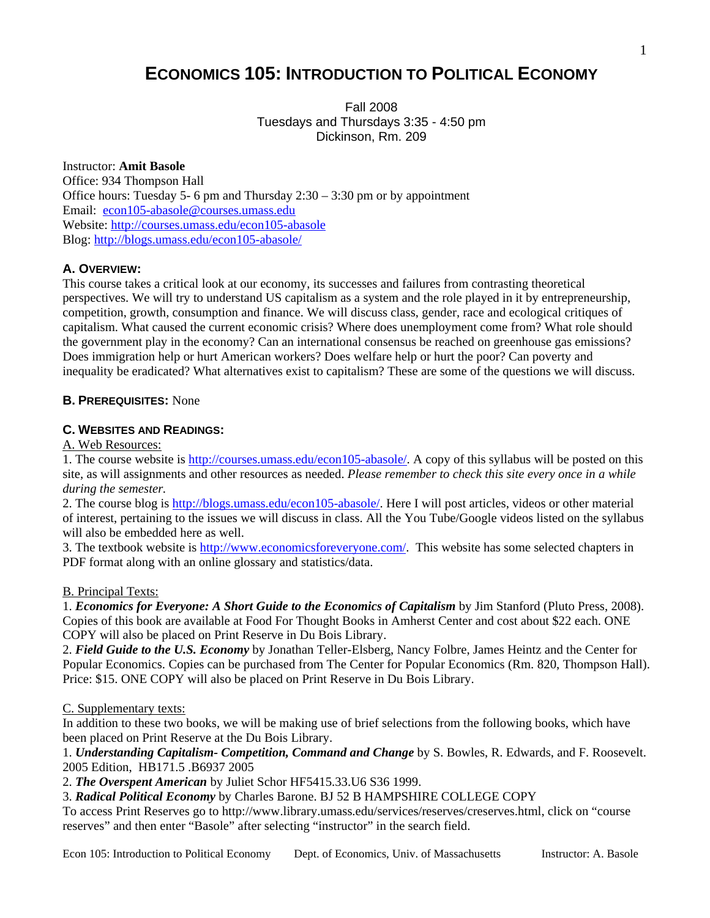# **ECONOMICS 105: INTRODUCTION TO POLITICAL ECONOMY**

Fall 2008 Tuesdays and Thursdays 3:35 - 4:50 pm Dickinson, Rm. 209

# Instructor: **Amit Basole**

Office: 934 Thompson Hall Office hours: Tuesday 5- 6 pm and Thursday 2:30 – 3:30 pm or by appointment Email: [econ105-abasole@courses.umass.edu](mailto:econ105-abasole@courses.umass.edu) Website: <http://courses.umass.edu/econ105-abasole> Blog:<http://blogs.umass.edu/econ105-abasole/>

# **A. OVERVIEW:**

This course takes a critical look at our economy, its successes and failures from contrasting theoretical perspectives. We will try to understand US capitalism as a system and the role played in it by entrepreneurship, competition, growth, consumption and finance. We will discuss class, gender, race and ecological critiques of capitalism. What caused the current economic crisis? Where does unemployment come from? What role should the government play in the economy? Can an international consensus be reached on greenhouse gas emissions? Does immigration help or hurt American workers? Does welfare help or hurt the poor? Can poverty and inequality be eradicated? What alternatives exist to capitalism? These are some of the questions we will discuss.

## **B. PREREQUISITES:** None

## **C. WEBSITES AND READINGS:**

A. Web Resources:

1. The course website is [http://courses.umass.edu/econ105-abasole/.](http://courses.umass.edu/econ103/) A copy of this syllabus will be posted on this site, as will assignments and other resources as needed. *Please remember to check this site every once in a while during the semester.*

2. The course blog is [http://blogs.umass.edu/econ105-abasole/.](http://blogs.umass.edu/econ105-abasole/) Here I will post articles, videos or other material of interest, pertaining to the issues we will discuss in class. All the You Tube/Google videos listed on the syllabus will also be embedded here as well.

3. The textbook website is<http://www.economicsforeveryone.com/>. This website has some selected chapters in PDF format along with an online glossary and statistics/data.

#### B. Principal Texts:

1. *Economics for Everyone: A Short Guide to the Economics of Capitalism* by Jim Stanford (Pluto Press, 2008). Copies of this book are available at Food For Thought Books in Amherst Center and cost about \$22 each. ONE COPY will also be placed on Print Reserve in Du Bois Library.

2. *Field Guide to the U.S. Economy* by Jonathan Teller-Elsberg, Nancy Folbre, James Heintz and the Center for Popular Economics. Copies can be purchased from The Center for Popular Economics (Rm. 820, Thompson Hall). Price: \$15. ONE COPY will also be placed on Print Reserve in Du Bois Library.

#### C. Supplementary texts:

In addition to these two books, we will be making use of brief selections from the following books, which have been placed on Print Reserve at the Du Bois Library.

1. *Understanding Capitalism- Competition, Command and Change* by S. Bowles, R. Edwards, and F. Roosevelt. 2005 Edition, HB171.5 .B6937 2005

2. *The Overspent American* by Juliet Schor HF5415.33.U6 S36 1999.

3. *Radical Political Economy* by Charles Barone. BJ 52 B HAMPSHIRE COLLEGE COPY

To access Print Reserves go to http://www.library.umass.edu/services/reserves/creserves.html, click on "course reserves" and then enter "Basole" after selecting "instructor" in the search field.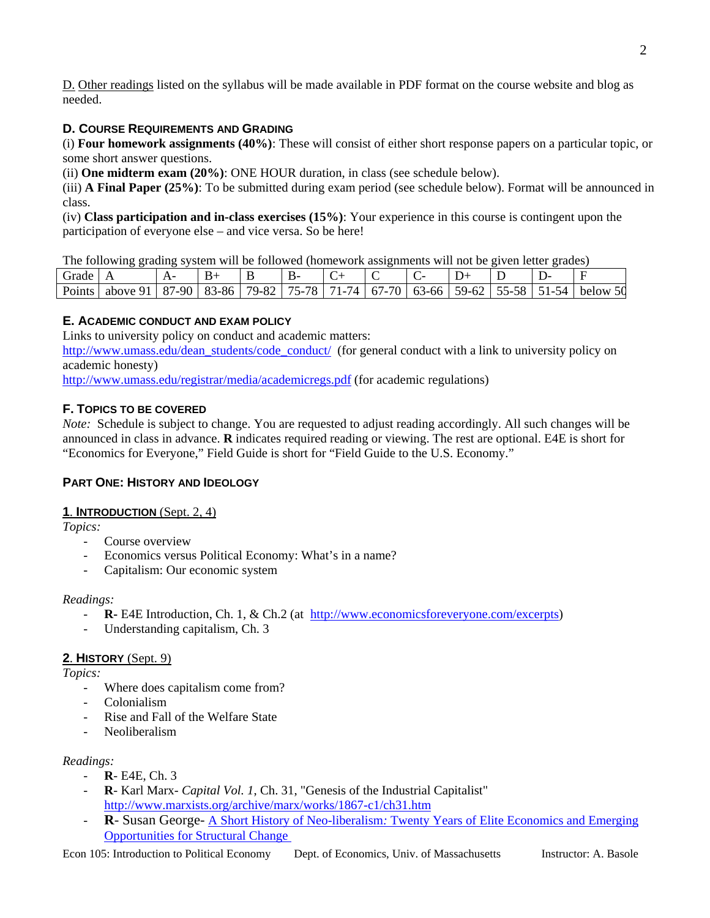D. Other readings listed on the syllabus will be made available in PDF format on the course website and blog as needed.

# **D. COURSE REQUIREMENTS AND GRADING**

(i) **Four homework assignments (40%)**: These will consist of either short response papers on a particular topic, or some short answer questions.

(ii) **One midterm exam (20%)**: ONE HOUR duration, in class (see schedule below).

(iii) **A Final Paper (25%)**: To be submitted during exam period (see schedule below). Format will be announced in class.

(iv) **Class participation and in-class exercises (15%)**: Your experience in this course is contingent upon the participation of everyone else – and vice versa. So be here!

The following grading system will be followed (homework assignments will not be given letter grades)

| Grade  |             | д.<br>. .  |                               | <b>.</b>         | . .<br>υ                 |                                    |                                                            |                 | ້     |                                              |         |             |
|--------|-------------|------------|-------------------------------|------------------|--------------------------|------------------------------------|------------------------------------------------------------|-----------------|-------|----------------------------------------------|---------|-------------|
| Points | O.<br>above | 87<br>7-90 | O <sub>2</sub><br>3-86<br>OJ. | $\circ$<br>79-ა∠ | 78<br>コピ<br>$\mathbf{v}$ | $^{\prime}$ $\Delta$<br><b>T</b> = | $70^{\circ}$<br>$\sqrt{2}$<br>- 6 °<br>U<br>$\epsilon$ $-$ | 63-66<br>$\cup$ | 59-62 | $\sim$ $\sim$<br>--<br>- 77-<br>^^<br>ັ<br>ັ | ⊿∼<br>ັ | 50<br>below |

# **E. ACADEMIC CONDUCT AND EXAM POLICY**

Links to university policy on conduct and academic matters:

[http://www.umass.edu/dean\\_students/code\\_conduct/](http://www.umass.edu/dean_students/code_conduct/) (for general conduct with a link to university policy on academic honesty)

<http://www.umass.edu/registrar/media/academicregs.pdf>(for academic regulations)

# **F. TOPICS TO BE COVERED**

*Note:* Schedule is subject to change. You are requested to adjust reading accordingly. All such changes will be announced in class in advance. **R** indicates required reading or viewing. The rest are optional. E4E is short for "Economics for Everyone," Field Guide is short for "Field Guide to the U.S. Economy."

# **PART ONE: HISTORY AND IDEOLOGY**

# **1**. **INTRODUCTION** (Sept. 2, 4)

*Topics:* 

- Course overview
- Economics versus Political Economy: What's in a name?
- Capitalism: Our economic system

# *Readings:*

- **R-** E4E Introduction, Ch. 1, & Ch.2 (at [http://www.economicsforeveryone.com/excerpts](http://www.economicsforeveryone.com/))
- Understanding capitalism, Ch. 3

# **2**. **HISTORY** (Sept. 9)

*Topics:* 

- Where does capitalism come from?
- Colonialism
- Rise and Fall of the Welfare State
- Neoliberalism

# *Readings:*

- **R** E4E, Ch. 3
- **R** Karl Marx *Capital Vol. 1*, Ch. 31, "Genesis of the Industrial Capitalist" <http://www.marxists.org/archive/marx/works/1867-c1/ch31.htm>
- **R** Susan George- A Short History of Neo-liberalism*:* [Twenty Years of Elite Economics and Emerging](http://www.globalexchange.org/campaigns/econ101/neoliberalism.html)  [Opportunities for Structural Change](http://www.globalexchange.org/campaigns/econ101/neoliberalism.html)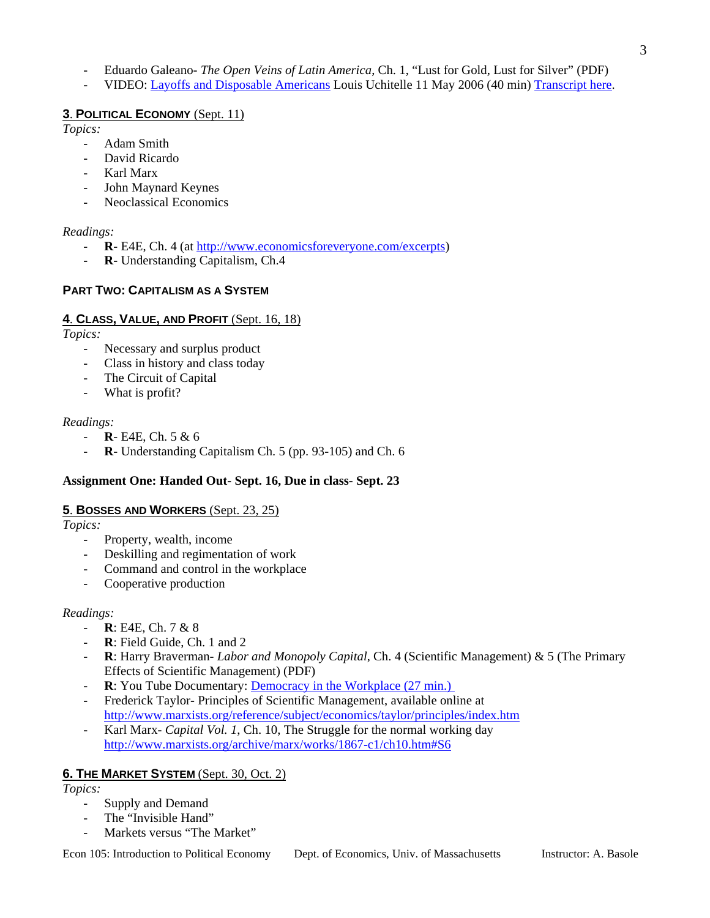- Eduardo Galeano- *The Open Veins of Latin America*, Ch. 1, "Lust for Gold, Lust for Silver" (PDF) - VIDEO: [Layoffs and Disposable Americans](http://streaming.yale.edu:8080/ramgen/cmibroadcast/Globalization/uchitelle5_16_06.rm) Louis Uchitelle 11 May 2006 (40 min) [Transcript here.](http://yaleglobal.yale.edu/display.article?id=7488)

# **5**. **BOSSES AND WORKERS** (Sept. 23, 25)

*Topics:* 

Property, wealth, income

**3**. **POLITICAL ECONOMY** (Sept. 11)

- John Maynard Keynes Neoclassical Economics

**PART TWO: CAPITALISM AS A SYSTEM**

The Circuit of Capital

- What is profit?

- **R**- E4E, Ch. 5 & 6

**4**. **CLASS, VALUE, AND PROFIT** (Sept. 16, 18)

Necessary and surplus product Class in history and class today

R- Understanding Capitalism, Ch.4

- Adam Smith David Ricardo Karl Marx

*Topics:* 

*Readings:* 

*Topics:* 

*Readings:* 

- Deskilling and regimentation of work
- Command and control in the workplace
- Cooperative production

# *Readings:*

- **R**: E4E, Ch. 7 & 8
- **R**: Field Guide, Ch. 1 and 2
- **R**: Harry Braverman- *Labor and Monopoly Capital*, Ch. 4 (Scientific Management) & 5 (The Primary Effects of Scientific Management) (PDF)
- **R**: You Tube Documentary: **Democracy** in the Workplace (27 min.)

- **R**- E4E, Ch. 4 (at <http://www.economicsforeveryone.com/excerpts>)

- **R**- Understanding Capitalism Ch. 5 (pp. 93-105) and Ch. 6

**Assignment One: Handed Out- Sept. 16, Due in class- Sept. 23** 

- Frederick Taylor- Principles of Scientific Management, available online at <http://www.marxists.org/reference/subject/economics/taylor/principles/index.htm>
- Karl Marx- *Capital Vol. 1*, Ch. 10, The Struggle for the normal working day <http://www.marxists.org/archive/marx/works/1867-c1/ch10.htm#S6>

# **6. THE MARKET SYSTEM** (Sept. 30, Oct. 2)

*Topics:* 

- Supply and Demand
- The "Invisible Hand"
- Markets versus "The Market"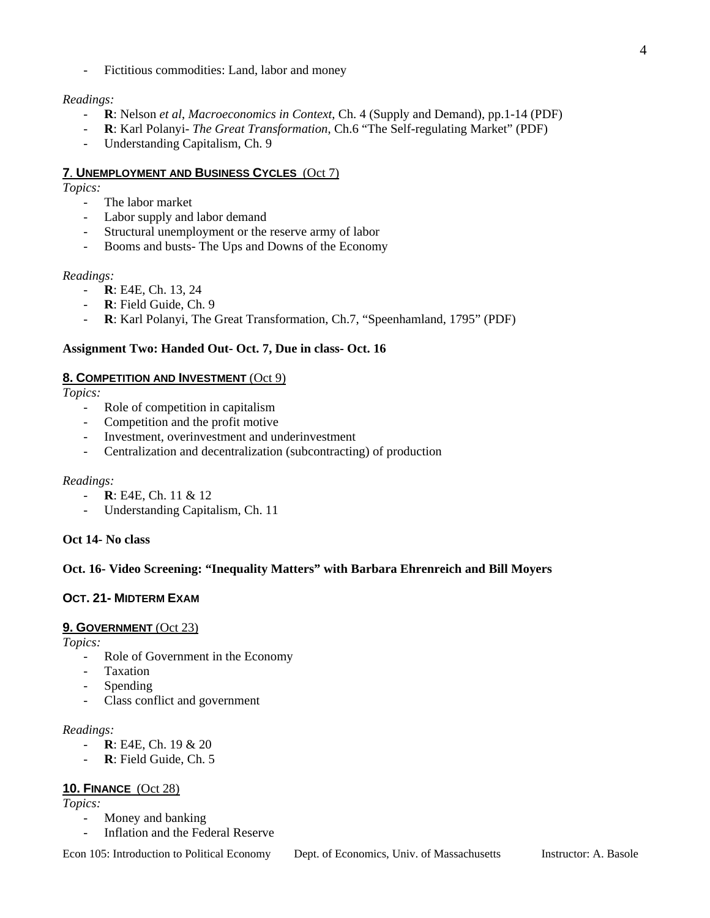Fictitious commodities: Land, labor and money

## *Readings:*

- **R**: Nelson *et al*, *Macroeconomics in Context*, Ch. 4 (Supply and Demand), pp.1-14 (PDF)
- **R**: Karl Polanyi- *The Great Transformation*, Ch.6 "The Self-regulating Market" (PDF)
- Understanding Capitalism, Ch. 9

### **7**. **UNEMPLOYMENT AND BUSINESS CYCLES** (Oct 7)

*Topics:* 

- The labor market
- Labor supply and labor demand
- Structural unemployment or the reserve army of labor
- Booms and busts- The Ups and Downs of the Economy

#### *Readings:*

- **R**: E4E, Ch. 13, 24
- R: Field Guide, Ch. 9
- **R**: Karl Polanyi, The Great Transformation, Ch.7, "Speenhamland, 1795" (PDF)

### **Assignment Two: Handed Out- Oct. 7, Due in class- Oct. 16**

#### **8. COMPETITION AND INVESTMENT** (Oct 9)

*Topics:* 

- Role of competition in capitalism
- Competition and the profit motive
- Investment, overinvestment and underinvestment
- Centralization and decentralization (subcontracting) of production

#### *Readings:*

- **R**: E4E, Ch. 11 & 12
- Understanding Capitalism, Ch. 11

#### **Oct 14- No class**

#### **Oct. 16- Video Screening: "Inequality Matters" with Barbara Ehrenreich and Bill Moyers**

# **OCT. 21- MIDTERM EXAM**

#### **9. GOVERNMENT** (Oct 23)

*Topics:* 

- Role of Government in the Economy
- **Taxation**
- Spending
- Class conflict and government

#### *Readings:*

- **R**: E4E, Ch. 19 & 20
- R: Field Guide, Ch. 5

#### **10. FINANCE** (Oct 28)

*Topics:* 

- Money and banking
- Inflation and the Federal Reserve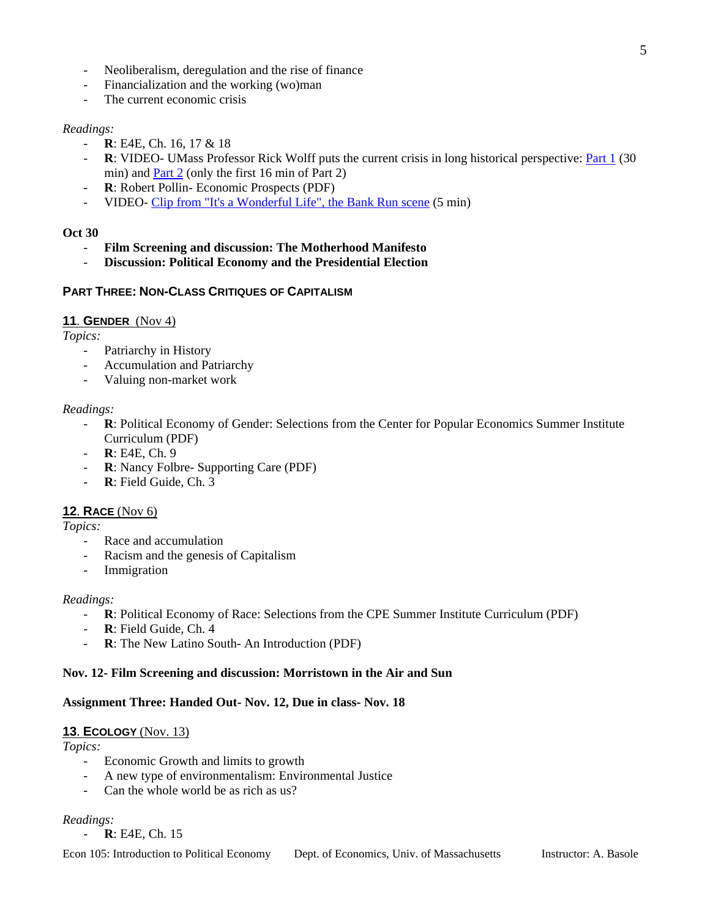- Neoliberalism, deregulation and the rise of finance
- Financialization and the working (wo)man
- The current economic crisis

#### *Readings:*

- **R**: E4E, Ch. 16, 17 & 18
- R: VIDEO- UMass Professor Rick Wolff puts the current crisis in long historical perspective: **Part 1** (30) min) and [Part 2](http://video.google.com/videoplay?docid=4306697969073111182) (only the first 16 min of Part 2)
- R: Robert Pollin- Economic Prospects (PDF)
- VIDEO- [Clip from "It's a Wonderful Life", the Bank Run scene](http://www.youtube.com/watch?v=MJJN9qwhkkE) (5 min)

#### **Oct 30**

- **Film Screening and discussion: The Motherhood Manifesto**
- **Discussion: Political Economy and the Presidential Election**

# **PART THREE: NON-CLASS CRITIQUES OF CAPITALISM**

### **11**. **GENDER** (Nov 4)

*Topics:* 

- Patriarchy in History
- Accumulation and Patriarchy
- Valuing non-market work

#### *Readings:*

- R: Political Economy of Gender: Selections from the Center for Popular Economics Summer Institute Curriculum (PDF)
- **R**: E4E, Ch. 9
- **R**: Nancy Folbre- Supporting Care (PDF)
- R: Field Guide, Ch. 3

#### **12**. **RACE** (Nov 6)

*Topics:* 

- Race and accumulation
- Racism and the genesis of Capitalism
- Immigration

#### *Readings:*

- **R**: Political Economy of Race: Selections from the CPE Summer Institute Curriculum (PDF)
- R: Field Guide, Ch. 4
- **R**: The New Latino South- An Introduction (PDF)

#### **Nov. 12- Film Screening and discussion: Morristown in the Air and Sun**

# **Assignment Three: Handed Out- Nov. 12, Due in class- Nov. 18**

# **13**. **ECOLOGY** (Nov. 13)

# *Topics:*

- Economic Growth and limits to growth
- A new type of environmentalism: Environmental Justice
- Can the whole world be as rich as us?

# *Readings:*

- **R**: E4E, Ch. 15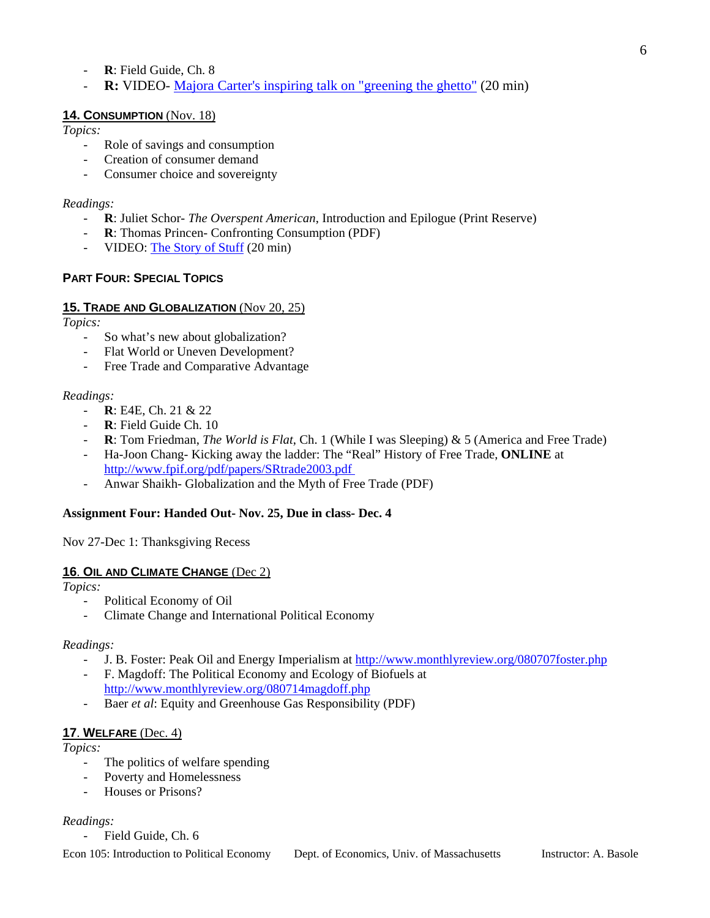- R: Field Guide, Ch. 8
- **R:** VIDEO- [Majora Carter's inspiring talk on "greening the ghetto"](http://video.google.com/videoplay?docid=2883494385256707942&q=environmental+justice&ei=ihJMSKydD5W05ALFnMGdDA) (20 min)

# **14. CONSUMPTION** (Nov. 18)

*Topics:* 

- Role of savings and consumption
- Creation of consumer demand
- Consumer choice and sovereignty

## *Readings:*

- **R**: Juliet Schor- *The Overspent American*, Introduction and Epilogue (Print Reserve)
- **R**: Thomas Princen- Confronting Consumption (PDF)
- VIDEO: [The Story of Stuff](http://www.storyofstuff.com/) (20 min)

# **PART FOUR: SPECIAL TOPICS**

# **15. TRADE AND GLOBALIZATION** (Nov 20, 25)

*Topics:* 

- So what's new about globalization?
- Flat World or Uneven Development?
- Free Trade and Comparative Advantage

# *Readings:*

- **R**: E4E, Ch. 21 & 22
- **R**: Field Guide Ch. 10
- **R**: Tom Friedman, *The World is Flat*, Ch. 1 (While I was Sleeping) & 5 (America and Free Trade)
- Ha-Joon Chang- Kicking away the ladder: The "Real" History of Free Trade, **ONLINE** at http://www.fpif.org/pdf/papers/SRtrade2003.pdf
- Anwar Shaikh- Globalization and the Myth of Free Trade (PDF)

# **Assignment Four: Handed Out- Nov. 25, Due in class- Dec. 4**

Nov 27-Dec 1: Thanksgiving Recess

# **16**. **OIL AND CLIMATE CHANGE** (Dec 2)

*Topics:* 

- Political Economy of Oil
- Climate Change and International Political Economy

#### *Readings:*

- J. B. Foster: Peak Oil and Energy Imperialism at <http://www.monthlyreview.org/080707foster.php>
- F. Magdoff: The Political Economy and Ecology of Biofuels at <http://www.monthlyreview.org/080714magdoff.php>
- Baer *et al*: Equity and Greenhouse Gas Responsibility (PDF)

# **17**. **WELFARE** (Dec. 4)

#### *Topics:*

- The politics of welfare spending
- Poverty and Homelessness
- Houses or Prisons?

# *Readings:*

Field Guide, Ch. 6